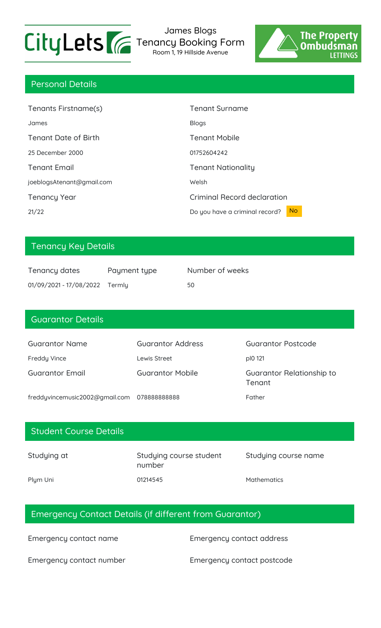

James Blogs Tenancy Booking Form

Room 1, 19 Hillside Avenue



## Personal Details

| Tenants Firstname(s)        | <b>Tenant Surname</b>                            |
|-----------------------------|--------------------------------------------------|
| James                       | <b>Blogs</b>                                     |
| <b>Tenant Date of Birth</b> | <b>Tenant Mobile</b>                             |
| 25 December 2000            | 01752604242                                      |
| <b>Tenant Email</b>         | <b>Tenant Nationality</b>                        |
| joeblogsAtenant@gmail.com   | Welsh                                            |
| <b>Tenancy Year</b>         | Criminal Record declaration                      |
| 21/22                       | N <sub>o</sub><br>Do you have a criminal record? |

# Tenancy Key Details

| Tenancy dates                  | Payment type | Number of weeks |
|--------------------------------|--------------|-----------------|
| 01/09/2021 - 17/08/2022 Termly |              | 50              |

# Guarantor Details Guarantor Name Guarantor Address Guarantor Postcode Freddy Vince **Lewis Street CONFIDENT PIO 121** Guarantor Email Guarantor Mobile Guarantor Relationship to Tenant freddyvincemusic2002@gmail.com 078888888888 Father

| <b>Student Course Details</b> |                                   |                      |
|-------------------------------|-----------------------------------|----------------------|
| Studying at                   | Studying course student<br>number | Studying course name |
| Plym Uni                      | 01214545                          | <b>Mathematics</b>   |

## Emergency Contact Details (if different from Guarantor)

Emergency contact name Emergency contact address

Emergency contact number Emergency contact postcode